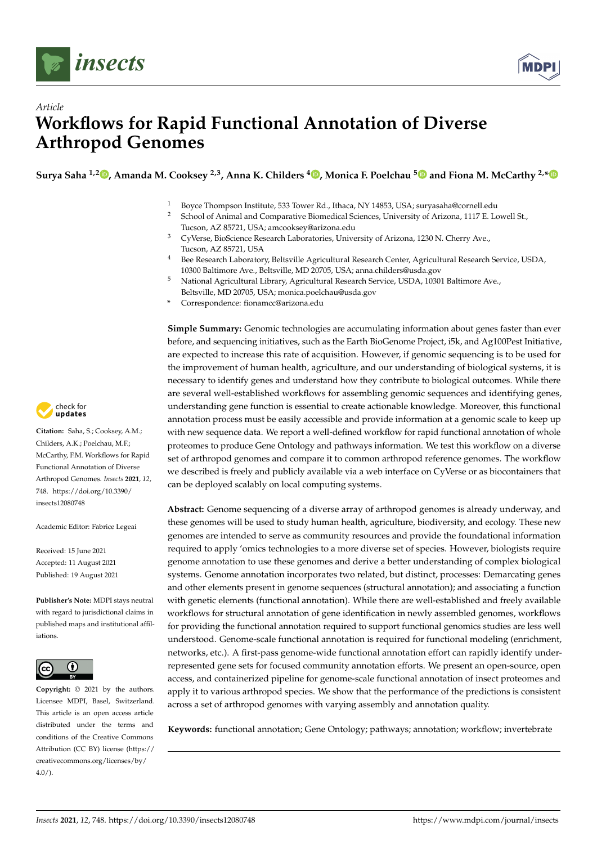



# *Article* **Workflows for Rapid Functional Annotation of Diverse Arthropod Genomes**

**Surya Saha 1,2 [,](https://orcid.org/0000-0002-1160-1413) Amanda M. Cooksey 2,3, Anna K. Childers <sup>4</sup> [,](https://orcid.org/0000-0002-0747-8539) Monica F. Poelchau [5](https://orcid.org/0000-0002-4584-6056) and Fiona M. McCarthy 2,[\\*](https://orcid.org/0000-0003-2175-5464)**

1 Boyce Thompson Institute, 533 Tower Rd., Ithaca, NY 14853, USA; suryasaha@cornell.edu<br>2 Sebasel of Animal and Comparative Pierrestiae Sciences, University of Arizona, 1117 E. L

- <sup>2</sup> School of Animal and Comparative Biomedical Sciences, University of Arizona, 1117 E. Lowell St., Tucson, AZ 85721, USA; amcooksey@arizona.edu
- <sup>3</sup> CyVerse, BioScience Research Laboratories, University of Arizona, 1230 N. Cherry Ave., Tucson, AZ 85721, USA
- <sup>4</sup> Bee Research Laboratory, Beltsville Agricultural Research Center, Agricultural Research Service, USDA, 10300 Baltimore Ave., Beltsville, MD 20705, USA; anna.childers@usda.gov
- <sup>5</sup> National Agricultural Library, Agricultural Research Service, USDA, 10301 Baltimore Ave., Beltsville, MD 20705, USA; monica.poelchau@usda.gov
- **\*** Correspondence: fionamcc@arizona.edu

**Simple Summary:** Genomic technologies are accumulating information about genes faster than ever before, and sequencing initiatives, such as the Earth BioGenome Project, i5k, and Ag100Pest Initiative, are expected to increase this rate of acquisition. However, if genomic sequencing is to be used for the improvement of human health, agriculture, and our understanding of biological systems, it is necessary to identify genes and understand how they contribute to biological outcomes. While there are several well-established workflows for assembling genomic sequences and identifying genes, understanding gene function is essential to create actionable knowledge. Moreover, this functional annotation process must be easily accessible and provide information at a genomic scale to keep up with new sequence data. We report a well-defined workflow for rapid functional annotation of whole proteomes to produce Gene Ontology and pathways information. We test this workflow on a diverse set of arthropod genomes and compare it to common arthropod reference genomes. The workflow we described is freely and publicly available via a web interface on CyVerse or as biocontainers that can be deployed scalably on local computing systems.

**Abstract:** Genome sequencing of a diverse array of arthropod genomes is already underway, and these genomes will be used to study human health, agriculture, biodiversity, and ecology. These new genomes are intended to serve as community resources and provide the foundational information required to apply 'omics technologies to a more diverse set of species. However, biologists require genome annotation to use these genomes and derive a better understanding of complex biological systems. Genome annotation incorporates two related, but distinct, processes: Demarcating genes and other elements present in genome sequences (structural annotation); and associating a function with genetic elements (functional annotation). While there are well-established and freely available workflows for structural annotation of gene identification in newly assembled genomes, workflows for providing the functional annotation required to support functional genomics studies are less well understood. Genome-scale functional annotation is required for functional modeling (enrichment, networks, etc.). A first-pass genome-wide functional annotation effort can rapidly identify underrepresented gene sets for focused community annotation efforts. We present an open-source, open access, and containerized pipeline for genome-scale functional annotation of insect proteomes and apply it to various arthropod species. We show that the performance of the predictions is consistent across a set of arthropod genomes with varying assembly and annotation quality.

**Keywords:** functional annotation; Gene Ontology; pathways; annotation; workflow; invertebrate



**Citation:** Saha, S.; Cooksey, A.M.; Childers, A.K.; Poelchau, M.F.; McCarthy, F.M. Workflows for Rapid Functional Annotation of Diverse Arthropod Genomes. *Insects* **2021**, *12*, 748. [https://doi.org/10.3390/](https://doi.org/10.3390/insects12080748) [insects12080748](https://doi.org/10.3390/insects12080748)

Academic Editor: Fabrice Legeai

Received: 15 June 2021 Accepted: 11 August 2021 Published: 19 August 2021

**Publisher's Note:** MDPI stays neutral with regard to jurisdictional claims in published maps and institutional affiliations.



**Copyright:** © 2021 by the authors. Licensee MDPI, Basel, Switzerland. This article is an open access article distributed under the terms and conditions of the Creative Commons Attribution (CC BY) license (https:/[/](https://creativecommons.org/licenses/by/4.0/) [creativecommons.org/licenses/by/](https://creativecommons.org/licenses/by/4.0/)  $4.0/$ ).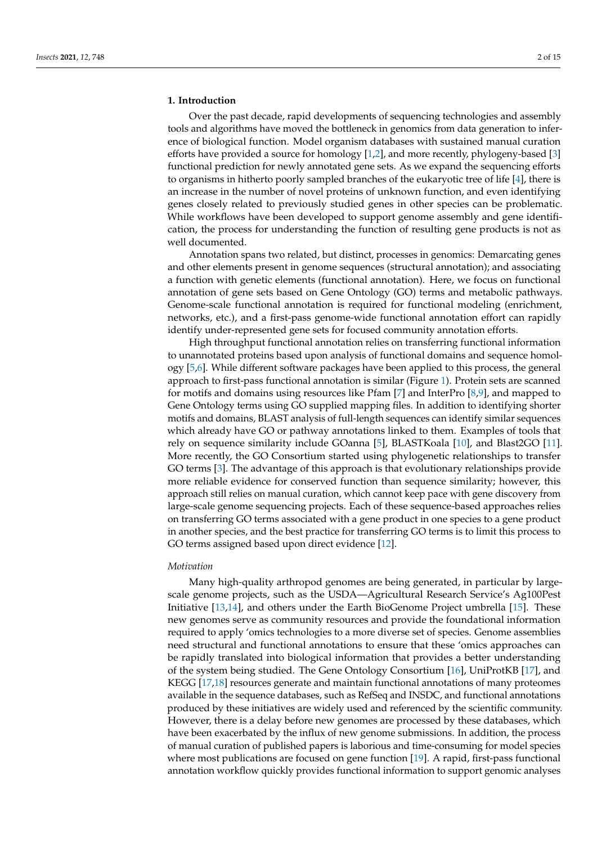#### **1. Introduction**

Over the past decade, rapid developments of sequencing technologies and assembly tools and algorithms have moved the bottleneck in genomics from data generation to inference of biological function. Model organism databases with sustained manual curation efforts have provided a source for homology [\[1,](#page-12-0)[2\]](#page-12-1), and more recently, phylogeny-based [\[3\]](#page-12-2) functional prediction for newly annotated gene sets. As we expand the sequencing efforts to organisms in hitherto poorly sampled branches of the eukaryotic tree of life [\[4\]](#page-12-3), there is an increase in the number of novel proteins of unknown function, and even identifying genes closely related to previously studied genes in other species can be problematic. While workflows have been developed to support genome assembly and gene identification, the process for understanding the function of resulting gene products is not as well documented.

Annotation spans two related, but distinct, processes in genomics: Demarcating genes and other elements present in genome sequences (structural annotation); and associating a function with genetic elements (functional annotation). Here, we focus on functional annotation of gene sets based on Gene Ontology (GO) terms and metabolic pathways. Genome-scale functional annotation is required for functional modeling (enrichment, networks, etc.), and a first-pass genome-wide functional annotation effort can rapidly identify under-represented gene sets for focused community annotation efforts.

High throughput functional annotation relies on transferring functional information to unannotated proteins based upon analysis of functional domains and sequence homology [\[5](#page-12-4)[,6\]](#page-12-5). While different software packages have been applied to this process, the general approach to first-pass functional annotation is similar (Figure [1\)](#page-2-0). Protein sets are scanned for motifs and domains using resources like Pfam [\[7\]](#page-12-6) and InterPro [\[8,](#page-12-7)[9\]](#page-12-8), and mapped to Gene Ontology terms using GO supplied mapping files. In addition to identifying shorter motifs and domains, BLAST analysis of full-length sequences can identify similar sequences which already have GO or pathway annotations linked to them. Examples of tools that rely on sequence similarity include GOanna [\[5\]](#page-12-4), BLASTKoala [\[10\]](#page-12-9), and Blast2GO [\[11\]](#page-12-10). More recently, the GO Consortium started using phylogenetic relationships to transfer GO terms [\[3\]](#page-12-2). The advantage of this approach is that evolutionary relationships provide more reliable evidence for conserved function than sequence similarity; however, this approach still relies on manual curation, which cannot keep pace with gene discovery from large-scale genome sequencing projects. Each of these sequence-based approaches relies on transferring GO terms associated with a gene product in one species to a gene product in another species, and the best practice for transferring GO terms is to limit this process to GO terms assigned based upon direct evidence [\[12\]](#page-12-11).

## *Motivation*

Many high-quality arthropod genomes are being generated, in particular by largescale genome projects, such as the USDA—Agricultural Research Service's Ag100Pest Initiative [\[13,](#page-12-12)[14\]](#page-12-13), and others under the Earth BioGenome Project umbrella [\[15\]](#page-12-14). These new genomes serve as community resources and provide the foundational information required to apply 'omics technologies to a more diverse set of species. Genome assemblies need structural and functional annotations to ensure that these 'omics approaches can be rapidly translated into biological information that provides a better understanding of the system being studied. The Gene Ontology Consortium [\[16\]](#page-13-0), UniProtKB [\[17\]](#page-13-1), and KEGG [\[17](#page-13-1)[,18\]](#page-13-2) resources generate and maintain functional annotations of many proteomes available in the sequence databases, such as RefSeq and INSDC, and functional annotations produced by these initiatives are widely used and referenced by the scientific community. However, there is a delay before new genomes are processed by these databases, which have been exacerbated by the influx of new genome submissions. In addition, the process of manual curation of published papers is laborious and time-consuming for model species where most publications are focused on gene function [\[19\]](#page-13-3). A rapid, first-pass functional annotation workflow quickly provides functional information to support genomic analyses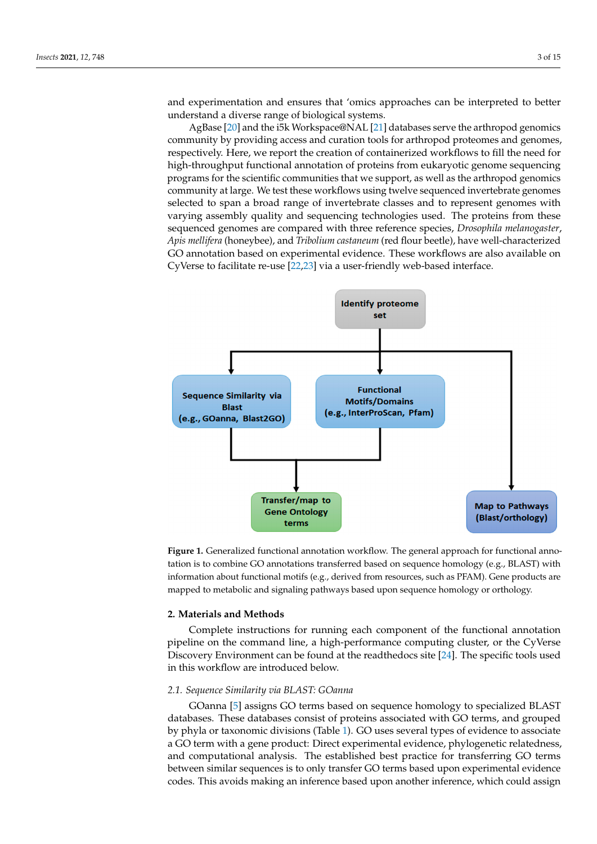and experimentation and ensures that 'omics approaches can be interpreted to better understand a diverse range of biological systems.

AgBase [\[20\]](#page-13-4) and the i5k Workspace@NAL [\[21\]](#page-13-5) databases serve the arthropod genomics community by providing access and curation tools for arthropod proteomes and genomes, respectively. Here, we report the creation of containerized workflows to fill the need for high-throughput functional annotation of proteins from eukaryotic genome sequencing programs for the scientific communities that we support, as well as the arthropod genomics community at large. We test these workflows using twelve sequenced invertebrate genomes selected to span a broad range of invertebrate classes and to represent genomes with varying assembly quality and sequencing technologies used. The proteins from these sequenced genomes are compared with three reference species, *Drosophila melanogaster*, *Apis mellifera* (honeybee), and *Tribolium castaneum* (red flour beetle), have well-characterized GO annotation based on experimental evidence. These workflows are also available on CyVerse to facilitate re-use [\[22,](#page-13-6)[23\]](#page-13-7) via a user-friendly web-based interface.

<span id="page-2-0"></span>

**Figure 1.** Generalized functional annotation workflow. The general approach for functional anno‐ **Figure 1.** Generalized functional annotation workflow. The general approach for functional annotation is to combine GO annotations transferred based on sequence homology (e.g., BLAST) with tation is to combine GO annotations transferred based on sequence homology (e.g., BLAST) with information about functional motifs (e.g., derived from resources, such as PFAM). General motifs (e.g., derived f information about functional motifs (e.g., derived from resources, such as PFAM). Gene products are mapped to metabolic and signaling pathways based upon sequence homology or orthology.

#### *Motivation* **2. Materials and Methods**

many higher arthropod generations are being generated, in particular by large generated, in particular by larg Complete instructions for running each component of the functional annotation pipeline on the command line, a high-performance computing cluster, or the CyVerse Discovery Environment can be found at the readthedocs site [\[24\]](#page-13-8). The specific tools used in this workflow are introduced below.

## need structural and functional annotations to ensure that these 'omics approaches can be *2.1. Sequence Similarity via BLAST: GOanna*

rapidly translated into biological into the GO<br>GOanna [\[5\]](#page-12-4) assigns GO terms based on sequence homology to specialized BLAST databases. These databases consist of proteins associated with GO terms, and grouped [17,18] resources generate and maintain functional annotations of many proteomes avail‐ by phyla or taxonomic divisions (Table [1\)](#page-3-0). GO uses several types of evidence to associate by phyla of databases (and I<sub>n</sub>). So uses several types of evidence to associate a GO term with a gene product: Direct experimental evidence, phylogenetic relatedness, a covern with a gene produce. Breet experimental evidence, prylogencial relations,<br>and computational analysis. The established best practice for transferring GO terms and companisonal dialy blot. The complemental best practice for transferring GO terms between similar sequences is to only transfer GO terms based upon experimental evidence  $\epsilon$  and the exact of new generator  $\epsilon$  of  $\epsilon$  in addition of  $\epsilon$  new generator  $\epsilon$  of  $\epsilon$  in addition, the process submissions. This excels making on information and how information which could occur codes. This avoids making an inference based upon another inference, which could assign<br>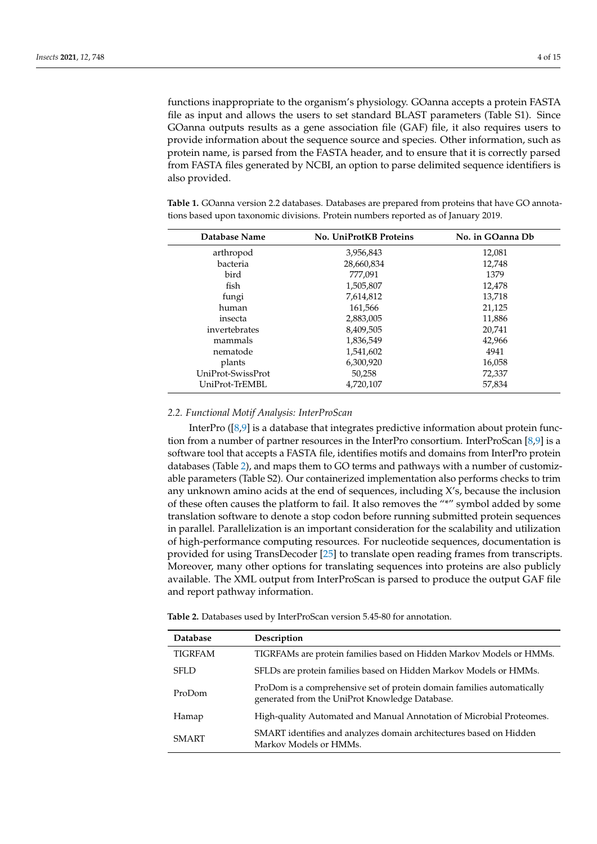functions inappropriate to the organism's physiology. GOanna accepts a protein FASTA file as input and allows the users to set standard BLAST parameters (Table S1). Since GOanna outputs results as a gene association file (GAF) file, it also requires users to provide information about the sequence source and species. Other information, such as protein name, is parsed from the FASTA header, and to ensure that it is correctly parsed from FASTA files generated by NCBI, an option to parse delimited sequence identifiers is also provided.

| Database Name     | No. UniProtKB Proteins | No. in GOanna Db |
|-------------------|------------------------|------------------|
| arthropod         | 3,956,843              | 12,081           |
| bacteria          | 28,660,834             | 12,748           |
| bird              | 777,091                | 1379             |
| fish              | 1,505,807              | 12,478           |
| fungi             | 7,614,812              | 13.718           |
| human             | 161,566                | 21,125           |
| insecta           | 2,883,005              | 11,886           |
| invertebrates     | 8,409,505              | 20,741           |
| mammals           | 1,836,549              | 42,966           |
| nematode          | 1,541,602              | 4941             |
| plants            | 6,300,920              | 16,058           |
| UniProt-SwissProt | 50,258                 | 72,337           |
| UniProt-TrEMBL    | 4,720,107              | 57.834           |

<span id="page-3-0"></span>**Table 1.** GOanna version 2.2 databases. Databases are prepared from proteins that have GO annotations based upon taxonomic divisions. Protein numbers reported as of January 2019.

#### *2.2. Functional Motif Analysis: InterProScan*

InterPro ([\[8,](#page-12-7)[9\]](#page-12-8) is a database that integrates predictive information about protein function from a number of partner resources in the InterPro consortium. InterProScan [\[8,](#page-12-7)[9\]](#page-12-8) is a software tool that accepts a FASTA file, identifies motifs and domains from InterPro protein databases (Table [2\)](#page-4-0), and maps them to GO terms and pathways with a number of customizable parameters (Table S2). Our containerized implementation also performs checks to trim any unknown amino acids at the end of sequences, including X's, because the inclusion of these often causes the platform to fail. It also removes the "\*" symbol added by some translation software to denote a stop codon before running submitted protein sequences in parallel. Parallelization is an important consideration for the scalability and utilization of high-performance computing resources. For nucleotide sequences, documentation is provided for using TransDecoder [\[25\]](#page-13-9) to translate open reading frames from transcripts. Moreover, many other options for translating sequences into proteins are also publicly available. The XML output from InterProScan is parsed to produce the output GAF file and report pathway information.

**Table 2.** Databases used by InterProScan version 5.45-80 for annotation.

| <b>Database</b> | Description                                                                                                              |
|-----------------|--------------------------------------------------------------------------------------------------------------------------|
| <b>TIGRFAM</b>  | TIGRFAMs are protein families based on Hidden Markov Models or HMMs.                                                     |
| <b>SFLD</b>     | SFLDs are protein families based on Hidden Markov Models or HMMs.                                                        |
| ProDom          | ProDom is a comprehensive set of protein domain families automatically<br>generated from the UniProt Knowledge Database. |
| Hamap           | High-quality Automated and Manual Annotation of Microbial Proteomes.                                                     |
| <b>SMART</b>    | SMART identifies and analyzes domain architectures based on Hidden<br>Markov Models or HMMs.                             |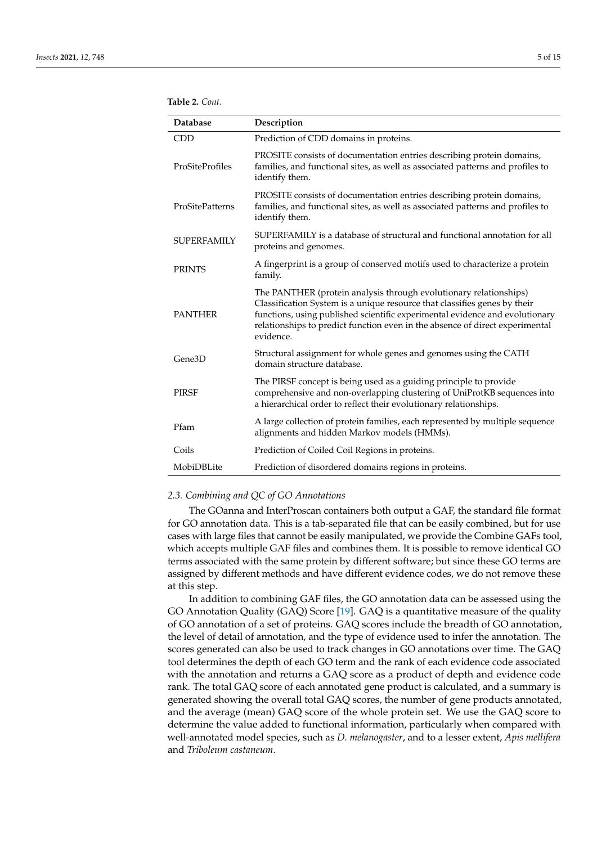<span id="page-4-0"></span>

| Database           | Description                                                                                                                                                                                                                                                                                                                 |
|--------------------|-----------------------------------------------------------------------------------------------------------------------------------------------------------------------------------------------------------------------------------------------------------------------------------------------------------------------------|
| <b>CDD</b>         | Prediction of CDD domains in proteins.                                                                                                                                                                                                                                                                                      |
| ProSiteProfiles    | PROSITE consists of documentation entries describing protein domains,<br>families, and functional sites, as well as associated patterns and profiles to<br>identify them.                                                                                                                                                   |
| ProSitePatterns    | PROSITE consists of documentation entries describing protein domains,<br>families, and functional sites, as well as associated patterns and profiles to<br>identify them.                                                                                                                                                   |
| <b>SUPERFAMILY</b> | SUPERFAMILY is a database of structural and functional annotation for all<br>proteins and genomes.                                                                                                                                                                                                                          |
| <b>PRINTS</b>      | A fingerprint is a group of conserved motifs used to characterize a protein<br>family.                                                                                                                                                                                                                                      |
| <b>PANTHER</b>     | The PANTHER (protein analysis through evolutionary relationships)<br>Classification System is a unique resource that classifies genes by their<br>functions, using published scientific experimental evidence and evolutionary<br>relationships to predict function even in the absence of direct experimental<br>evidence. |
| Gene3D             | Structural assignment for whole genes and genomes using the CATH<br>domain structure database.                                                                                                                                                                                                                              |
| <b>PIRSF</b>       | The PIRSF concept is being used as a guiding principle to provide<br>comprehensive and non-overlapping clustering of UniProtKB sequences into<br>a hierarchical order to reflect their evolutionary relationships.                                                                                                          |
| Pfam               | A large collection of protein families, each represented by multiple sequence<br>alignments and hidden Markov models (HMMs).                                                                                                                                                                                                |
| Coils              | Prediction of Coiled Coil Regions in proteins.                                                                                                                                                                                                                                                                              |
| MobiDBLite         | Prediction of disordered domains regions in proteins.                                                                                                                                                                                                                                                                       |

## *2.3. Combining and QC of GO Annotations*

The GOanna and InterProscan containers both output a GAF, the standard file format for GO annotation data. This is a tab-separated file that can be easily combined, but for use cases with large files that cannot be easily manipulated, we provide the Combine GAFs tool, which accepts multiple GAF files and combines them. It is possible to remove identical GO terms associated with the same protein by different software; but since these GO terms are assigned by different methods and have different evidence codes, we do not remove these at this step.

In addition to combining GAF files, the GO annotation data can be assessed using the GO Annotation Quality (GAQ) Score [\[19\]](#page-13-3). GAQ is a quantitative measure of the quality of GO annotation of a set of proteins. GAQ scores include the breadth of GO annotation, the level of detail of annotation, and the type of evidence used to infer the annotation. The scores generated can also be used to track changes in GO annotations over time. The GAQ tool determines the depth of each GO term and the rank of each evidence code associated with the annotation and returns a GAQ score as a product of depth and evidence code rank. The total GAQ score of each annotated gene product is calculated, and a summary is generated showing the overall total GAQ scores, the number of gene products annotated, and the average (mean) GAQ score of the whole protein set. We use the GAQ score to determine the value added to functional information, particularly when compared with well-annotated model species, such as *D. melanogaster*, and to a lesser extent, *Apis mellifera* and *Triboleum castaneum*.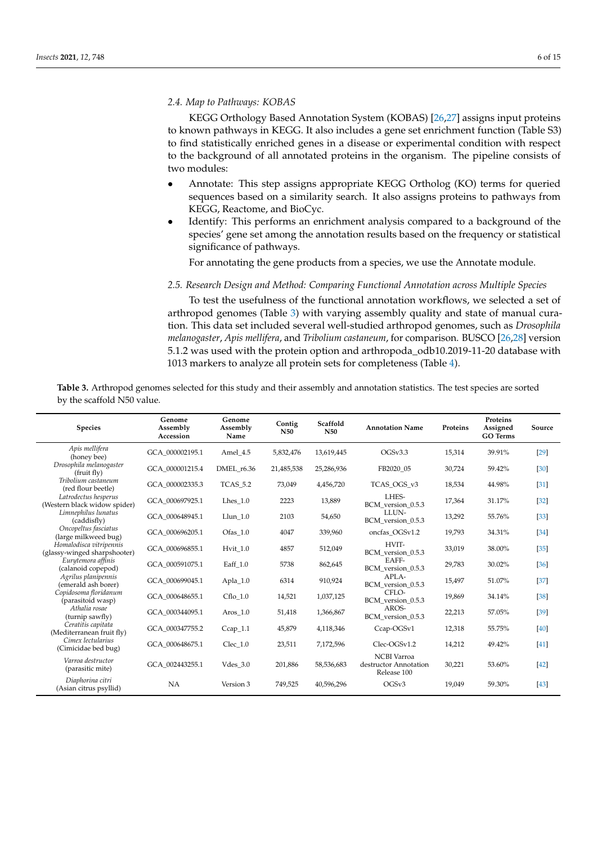## *2.4. Map to Pathways: KOBAS*

KEGG Orthology Based Annotation System (KOBAS) [\[26](#page-13-10)[,27\]](#page-13-11) assigns input proteins to known pathways in KEGG. It also includes a gene set enrichment function (Table S3) to find statistically enriched genes in a disease or experimental condition with respect to the background of all annotated proteins in the organism. The pipeline consists of two modules:

- Annotate: This step assigns appropriate KEGG Ortholog (KO) terms for queried sequences based on a similarity search. It also assigns proteins to pathways from KEGG, Reactome, and BioCyc.
- Identify: This performs an enrichment analysis compared to a background of the species' gene set among the annotation results based on the frequency or statistical significance of pathways.

For annotating the gene products from a species, we use the Annotate module.

## *2.5. Research Design and Method: Comparing Functional Annotation across Multiple Species*

To test the usefulness of the functional annotation workflows, we selected a set of arthropod genomes (Table [3\)](#page-5-0) with varying assembly quality and state of manual curation. This data set included several well-studied arthropod genomes, such as *Drosophila melanogaster*, *Apis mellifera*, and *Tribolium castaneum*, for comparison. BUSCO [\[26](#page-13-10)[,28\]](#page-13-12) version 5.1.2 was used with the protein option and arthropoda\_odb10.2019-11-20 database with 1013 markers to analyze all protein sets for completeness (Table [4\)](#page-6-0).

<span id="page-5-0"></span>Table 3. Arthropod genomes selected for this study and their assembly and annotation statistics. The test species are sorted by the scaffold N50 value.

| <b>Species</b>                                          | Genome<br>Assembly<br>Accession | Genome<br>Assembly<br>Name | Contig<br><b>N50</b> | Scaffold<br><b>N50</b> | <b>Annotation Name</b>                                     | Proteins | Proteins<br>Assigned<br><b>GO</b> Terms | Source |
|---------------------------------------------------------|---------------------------------|----------------------------|----------------------|------------------------|------------------------------------------------------------|----------|-----------------------------------------|--------|
| Apis mellifera<br>(honey bee)                           | GCA 000002195.1                 | Amel 4.5                   | 5,832,476            | 13,619,445             | OGSv3.3                                                    | 15,314   | 39.91%                                  | [29]   |
| Drosophila melanogaster<br>(fruit fly)                  | GCA 000001215.4                 | DMEL r6.36                 | 21,485,538           | 25,286,936             | FB2020 05                                                  | 30,724   | 59.42%                                  | [30]   |
| Tribolium castaneum<br>(red flour beetle)               | GCA 000002335.3                 | <b>TCAS 5.2</b>            | 73,049               | 4,456,720              | TCAS OGS v3                                                | 18,534   | 44.98%                                  | $[31]$ |
| Latrodectus hesperus<br>(Western black widow spider)    | GCA 000697925.1                 | Lhes $1.0$                 | 2223                 | 13,889                 | LHES-<br>BCM version 0.5.3                                 | 17,364   | 31.17%                                  | $[32]$ |
| Limnephilus lunatus<br>(caddisfly)                      | GCA 000648945.1                 | Llun 1.0                   | 2103                 | 54,650                 | LLUN-<br>BCM_version_0.5.3                                 | 13,292   | 55.76%                                  | $[33]$ |
| Oncopeltus fasciatus<br>(large milkweed bug)            | GCA 000696205.1                 | Ofas 1.0                   | 4047                 | 339,960                | oncfas OGSv1.2                                             | 19,793   | 34.31%                                  | $[34]$ |
| Homalodisca vitripennis<br>(glassy-winged sharpshooter) | GCA 000696855.1                 | Hvit 1.0                   | 4857                 | 512,049                | HVIT-<br>BCM_version_0.5.3                                 | 33,019   | 38.00%                                  | [35]   |
| Eurytemora affinis<br>(calanoid copepod)                | GCA 000591075.1                 | Eaff $1.0$                 | 5738                 | 862,645                | EAFF-<br>BCM version 0.5.3                                 | 29,783   | 30.02%                                  | [36]   |
| Agrilus planipennis<br>(emerald ash borer)              | GCA 000699045.1                 | Apla_ $1.0$                | 6314                 | 910,924                | APLA-<br>BCM version 0.5.3                                 | 15,497   | 51.07%                                  | $[37]$ |
| Copidosoma floridanum<br>(parasitoid wasp)              | GCA 000648655.1                 | $Cflo$ 1.0                 | 14,521               | 1,037,125              | CFLO-<br>BCM version 0.5.3                                 | 19,869   | 34.14%                                  | $[38]$ |
| Athalia rosae<br>(turnip sawfly)                        | GCA 000344095.1                 | Aros 1.0                   | 51,418               | 1,366,867              | AROS-<br>BCM version 0.5.3                                 | 22,213   | 57.05%                                  | $[39]$ |
| Ceratitis capitata<br>(Mediterranean fruit fly)         | GCA 000347755.2                 | $Ccap_1.1$                 | 45,879               | 4,118,346              | Ccap-OGSv1                                                 | 12,318   | 55.75%                                  | [40]   |
| Cimex lectularius<br>(Cimicidae bed bug)                | GCA 000648675.1                 | $Clec_1.0$                 | 23,511               | 7,172,596              | Clec-OGSv1.2                                               | 14,212   | 49.42%                                  | [41]   |
| Varroa destructor<br>(parasitic mite)                   | GCA 002443255.1                 | Vdes $3.0$                 | 201,886              | 58,536,683             | <b>NCBI</b> Varroa<br>destructor Annotation<br>Release 100 | 30,221   | 53.60%                                  | $[42]$ |
| Diaphorina citri<br>(Asian citrus psyllid)              | NA                              | Version 3                  | 749,525              | 40,596,296             | OGSv3                                                      | 19.049   | 59.30%                                  | $[43]$ |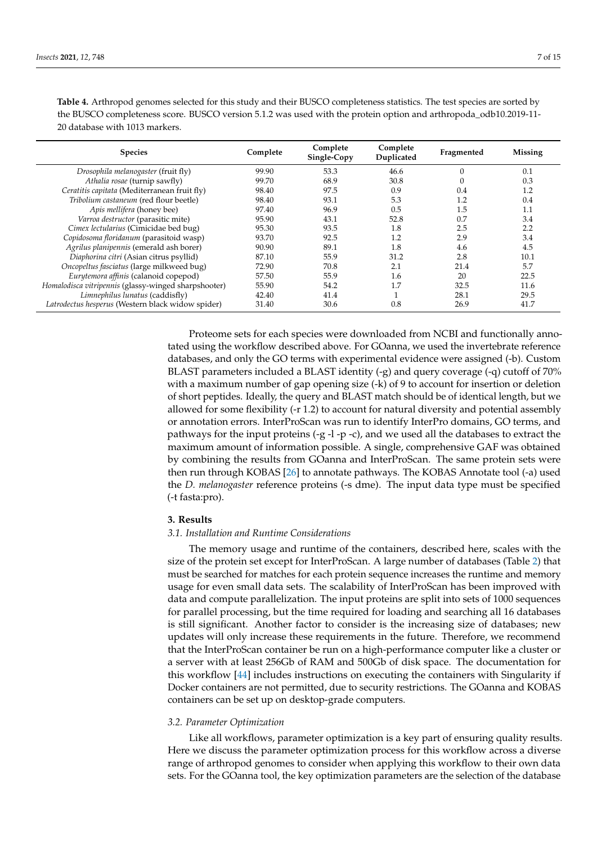| <b>Species</b>                                       | Complete | Complete<br>Single-Copy | Complete<br>Duplicated | Fragmented | <b>Missing</b> |
|------------------------------------------------------|----------|-------------------------|------------------------|------------|----------------|
| Drosophila melanogaster (fruit fly)                  | 99.90    | 53.3                    | 46.6                   | $\Omega$   | 0.1            |
| Athalia rosae (turnip sawfly)                        | 99.70    | 68.9                    | 30.8                   | $\Omega$   | 0.3            |
| Ceratitis capitata (Mediterranean fruit fly)         | 98.40    | 97.5                    | 0.9                    | 0.4        | 1.2            |
| Tribolium castaneum (red flour beetle)               | 98.40    | 93.1                    | 5.3                    | 1.2        | 0.4            |
| Apis mellifera (honey bee)                           | 97.40    | 96.9                    | 0.5                    | 1.5        | 1.1            |
| Varroa destructor (parasitic mite)                   | 95.90    | 43.1                    | 52.8                   | 0.7        | 3.4            |
| Cimex lectularius (Cimicidae bed bug)                | 95.30    | 93.5                    | 1.8                    | 2.5        | 2.2            |
| Copidosoma floridanum (parasitoid wasp)              | 93.70    | 92.5                    | 1.2                    | 2.9        | 3.4            |
| Agrilus planipennis (emerald ash borer)              | 90.90    | 89.1                    | 1.8                    | 4.6        | 4.5            |
| Diaphorina citri (Asian citrus psyllid)              | 87.10    | 55.9                    | 31.2                   | 2.8        | 10.1           |
| Oncopeltus fasciatus (large milkweed bug)            | 72.90    | 70.8                    | 2.1                    | 21.4       | 5.7            |
| Eurytemora affinis (calanoid copepod)                | 57.50    | 55.9                    | 1.6                    | 20         | 22.5           |
| Homalodisca vitripennis (glassy-winged sharpshooter) | 55.90    | 54.2                    | 1.7                    | 32.5       | 11.6           |
| Limnephilus lunatus (caddisfly)                      | 42.40    | 41.4                    |                        | 28.1       | 29.5           |
| Latrodectus hesperus (Western black widow spider)    | 31.40    | 30.6                    | 0.8                    | 26.9       | 41.7           |

<span id="page-6-0"></span>**Table 4.** Arthropod genomes selected for this study and their BUSCO completeness statistics. The test species are sorted by the BUSCO completeness score. BUSCO version 5.1.2 was used with the protein option and arthropoda\_odb10.2019-11- 20 database with 1013 markers.

> Proteome sets for each species were downloaded from NCBI and functionally annotated using the workflow described above. For GOanna, we used the invertebrate reference databases, and only the GO terms with experimental evidence were assigned (-b). Custom BLAST parameters included a BLAST identity (-g) and query coverage (-q) cutoff of 70% with a maximum number of gap opening size (-k) of 9 to account for insertion or deletion of short peptides. Ideally, the query and BLAST match should be of identical length, but we allowed for some flexibility (-r 1.2) to account for natural diversity and potential assembly or annotation errors. InterProScan was run to identify InterPro domains, GO terms, and pathways for the input proteins (-g -l -p -c), and we used all the databases to extract the maximum amount of information possible. A single, comprehensive GAF was obtained by combining the results from GOanna and InterProScan. The same protein sets were then run through KOBAS [\[26\]](#page-13-10) to annotate pathways. The KOBAS Annotate tool (-a) used the *D. melanogaster* reference proteins (-s dme). The input data type must be specified (-t fasta:pro).

## **3. Results**

## *3.1. Installation and Runtime Considerations*

The memory usage and runtime of the containers, described here, scales with the size of the protein set except for InterProScan. A large number of databases (Table [2\)](#page-4-0) that must be searched for matches for each protein sequence increases the runtime and memory usage for even small data sets. The scalability of InterProScan has been improved with data and compute parallelization. The input proteins are split into sets of 1000 sequences for parallel processing, but the time required for loading and searching all 16 databases is still significant. Another factor to consider is the increasing size of databases; new updates will only increase these requirements in the future. Therefore, we recommend that the InterProScan container be run on a high-performance computer like a cluster or a server with at least 256Gb of RAM and 500Gb of disk space. The documentation for this workflow [\[44\]](#page-14-4) includes instructions on executing the containers with Singularity if Docker containers are not permitted, due to security restrictions. The GOanna and KOBAS containers can be set up on desktop-grade computers.

## *3.2. Parameter Optimization*

Like all workflows, parameter optimization is a key part of ensuring quality results. Here we discuss the parameter optimization process for this workflow across a diverse range of arthropod genomes to consider when applying this workflow to their own data sets. For the GOanna tool, the key optimization parameters are the selection of the database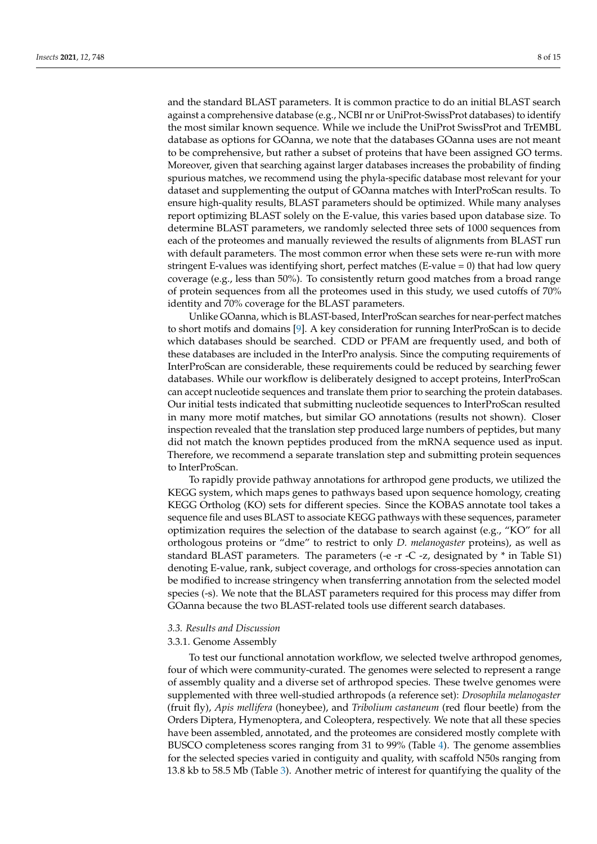and the standard BLAST parameters. It is common practice to do an initial BLAST search against a comprehensive database (e.g., NCBI nr or UniProt-SwissProt databases) to identify the most similar known sequence. While we include the UniProt SwissProt and TrEMBL database as options for GOanna, we note that the databases GOanna uses are not meant to be comprehensive, but rather a subset of proteins that have been assigned GO terms. Moreover, given that searching against larger databases increases the probability of finding spurious matches, we recommend using the phyla-specific database most relevant for your dataset and supplementing the output of GOanna matches with InterProScan results. To ensure high-quality results, BLAST parameters should be optimized. While many analyses report optimizing BLAST solely on the E-value, this varies based upon database size. To determine BLAST parameters, we randomly selected three sets of 1000 sequences from each of the proteomes and manually reviewed the results of alignments from BLAST run with default parameters. The most common error when these sets were re-run with more stringent E-values was identifying short, perfect matches (E-value  $= 0$ ) that had low query coverage (e.g., less than 50%). To consistently return good matches from a broad range of protein sequences from all the proteomes used in this study, we used cutoffs of 70% identity and 70% coverage for the BLAST parameters.

Unlike GOanna, which is BLAST-based, InterProScan searches for near-perfect matches to short motifs and domains [\[9\]](#page-12-8). A key consideration for running InterProScan is to decide which databases should be searched. CDD or PFAM are frequently used, and both of these databases are included in the InterPro analysis. Since the computing requirements of InterProScan are considerable, these requirements could be reduced by searching fewer databases. While our workflow is deliberately designed to accept proteins, InterProScan can accept nucleotide sequences and translate them prior to searching the protein databases. Our initial tests indicated that submitting nucleotide sequences to InterProScan resulted in many more motif matches, but similar GO annotations (results not shown). Closer inspection revealed that the translation step produced large numbers of peptides, but many did not match the known peptides produced from the mRNA sequence used as input. Therefore, we recommend a separate translation step and submitting protein sequences to InterProScan.

To rapidly provide pathway annotations for arthropod gene products, we utilized the KEGG system, which maps genes to pathways based upon sequence homology, creating KEGG Ortholog (KO) sets for different species. Since the KOBAS annotate tool takes a sequence file and uses BLAST to associate KEGG pathways with these sequences, parameter optimization requires the selection of the database to search against (e.g., "KO" for all orthologous proteins or "dme" to restrict to only *D. melanogaster* proteins), as well as standard BLAST parameters. The parameters (-e -r -C -z, designated by \* in Table S1) denoting E-value, rank, subject coverage, and orthologs for cross-species annotation can be modified to increase stringency when transferring annotation from the selected model species (-s). We note that the BLAST parameters required for this process may differ from GOanna because the two BLAST-related tools use different search databases.

## *3.3. Results and Discussion*

## 3.3.1. Genome Assembly

To test our functional annotation workflow, we selected twelve arthropod genomes, four of which were community-curated. The genomes were selected to represent a range of assembly quality and a diverse set of arthropod species. These twelve genomes were supplemented with three well-studied arthropods (a reference set): *Drosophila melanogaster* (fruit fly), *Apis mellifera* (honeybee), and *Tribolium castaneum* (red flour beetle) from the Orders Diptera, Hymenoptera, and Coleoptera, respectively. We note that all these species have been assembled, annotated, and the proteomes are considered mostly complete with BUSCO completeness scores ranging from 31 to 99% (Table [4\)](#page-6-0). The genome assemblies for the selected species varied in contiguity and quality, with scaffold N50s ranging from 13.8 kb to 58.5 Mb (Table [3\)](#page-5-0). Another metric of interest for quantifying the quality of the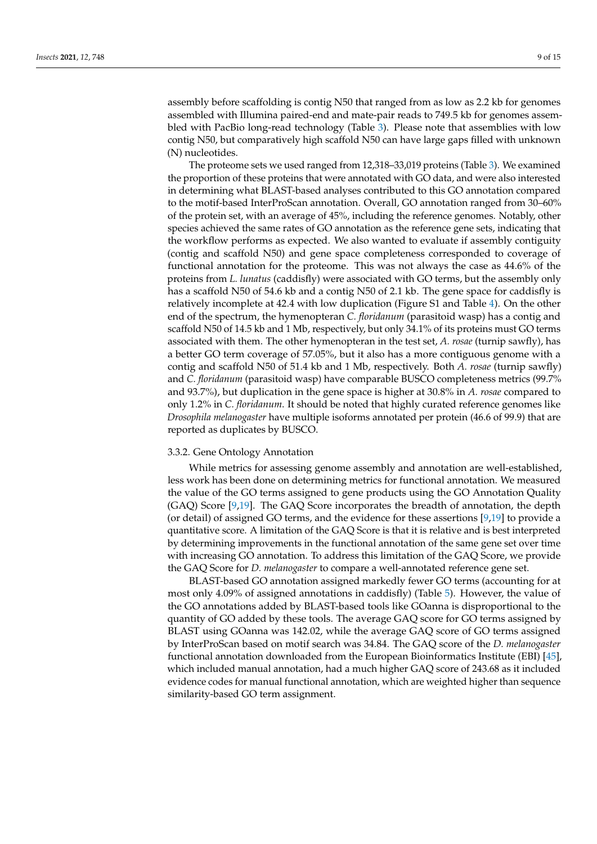assembly before scaffolding is contig N50 that ranged from as low as 2.2 kb for genomes assembled with Illumina paired-end and mate-pair reads to 749.5 kb for genomes assembled with PacBio long-read technology (Table [3\)](#page-5-0). Please note that assemblies with low contig N50, but comparatively high scaffold N50 can have large gaps filled with unknown (N) nucleotides.

The proteome sets we used ranged from 12,318–33,019 proteins (Table [3\)](#page-5-0). We examined the proportion of these proteins that were annotated with GO data, and were also interested in determining what BLAST-based analyses contributed to this GO annotation compared to the motif-based InterProScan annotation. Overall, GO annotation ranged from 30–60% of the protein set, with an average of 45%, including the reference genomes. Notably, other species achieved the same rates of GO annotation as the reference gene sets, indicating that the workflow performs as expected. We also wanted to evaluate if assembly contiguity (contig and scaffold N50) and gene space completeness corresponded to coverage of functional annotation for the proteome. This was not always the case as 44.6% of the proteins from *L. lunatus* (caddisfly) were associated with GO terms, but the assembly only has a scaffold N50 of 54.6 kb and a contig N50 of 2.1 kb. The gene space for caddisfly is relatively incomplete at 42.4 with low duplication (Figure S1 and Table [4\)](#page-6-0). On the other end of the spectrum, the hymenopteran *C. floridanum* (parasitoid wasp) has a contig and scaffold N50 of 14.5 kb and 1 Mb, respectively, but only 34.1% of its proteins must GO terms associated with them. The other hymenopteran in the test set, *A. rosae* (turnip sawfly), has a better GO term coverage of 57.05%, but it also has a more contiguous genome with a contig and scaffold N50 of 51.4 kb and 1 Mb, respectively. Both *A. rosae* (turnip sawfly) and *C. floridanum* (parasitoid wasp) have comparable BUSCO completeness metrics (99.7% and 93.7%), but duplication in the gene space is higher at 30.8% in *A. rosae* compared to only 1.2% in *C. floridanum*. It should be noted that highly curated reference genomes like *Drosophila melanogaster* have multiple isoforms annotated per protein (46.6 of 99.9) that are reported as duplicates by BUSCO.

## 3.3.2. Gene Ontology Annotation

While metrics for assessing genome assembly and annotation are well-established, less work has been done on determining metrics for functional annotation. We measured the value of the GO terms assigned to gene products using the GO Annotation Quality (GAQ) Score [\[9,](#page-12-8)[19\]](#page-13-3). The GAQ Score incorporates the breadth of annotation, the depth (or detail) of assigned GO terms, and the evidence for these assertions [\[9](#page-12-8)[,19\]](#page-13-3) to provide a quantitative score. A limitation of the GAQ Score is that it is relative and is best interpreted by determining improvements in the functional annotation of the same gene set over time with increasing GO annotation. To address this limitation of the GAQ Score, we provide the GAQ Score for *D. melanogaster* to compare a well-annotated reference gene set.

BLAST-based GO annotation assigned markedly fewer GO terms (accounting for at most only 4.09% of assigned annotations in caddisfly) (Table [5\)](#page-9-0). However, the value of the GO annotations added by BLAST-based tools like GOanna is disproportional to the quantity of GO added by these tools. The average GAQ score for GO terms assigned by BLAST using GOanna was 142.02, while the average GAQ score of GO terms assigned by InterProScan based on motif search was 34.84. The GAQ score of the *D. melanogaster* functional annotation downloaded from the European Bioinformatics Institute (EBI) [\[45\]](#page-14-5), which included manual annotation, had a much higher GAQ score of 243.68 as it included evidence codes for manual functional annotation, which are weighted higher than sequence similarity-based GO term assignment.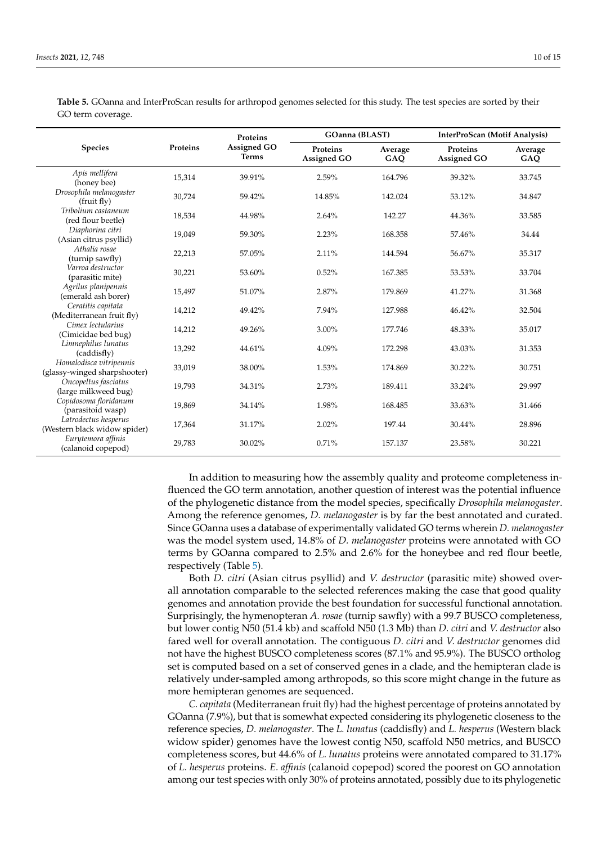|                                                         |          | Proteins                           | <b>GOanna</b> (BLAST)          |                | InterProScan (Motif Analysis)  |                |
|---------------------------------------------------------|----------|------------------------------------|--------------------------------|----------------|--------------------------------|----------------|
| <b>Species</b>                                          | Proteins | <b>Assigned GO</b><br><b>Terms</b> | Proteins<br><b>Assigned GO</b> | Average<br>GAQ | <b>Proteins</b><br>Assigned GO | Average<br>GAQ |
| Apis mellifera<br>(honey bee)                           | 15,314   | 39.91%                             | 2.59%                          | 164.796        | 39.32%                         | 33.745         |
| Drosophila melanogaster<br>(fruit fly)                  | 30,724   | 59.42%                             | 14.85%                         | 142.024        | 53.12%                         | 34.847         |
| Tribolium castaneum<br>(red flour beetle)               | 18,534   | 44.98%                             | 2.64%                          | 142.27         | 44.36%                         | 33.585         |
| Diaphorina citri<br>(Asian citrus psyllid)              | 19,049   | 59.30%                             | 2.23%                          | 168.358        | 57.46%                         | 34.44          |
| Athalia rosae<br>(turnip sawfly)                        | 22,213   | 57.05%                             | 2.11%                          | 144.594        | 56.67%                         | 35.317         |
| Varroa destructor<br>(parasitic mite)                   | 30,221   | 53.60%                             | 0.52%                          | 167.385        | 53.53%                         | 33.704         |
| Agrilus planipennis<br>(emerald ash borer)              | 15,497   | 51.07%                             | 2.87%                          | 179.869        | 41.27%                         | 31.368         |
| Ceratitis capitata<br>(Mediterranean fruit fly)         | 14,212   | 49.42%                             | 7.94%                          | 127.988        | 46.42%                         | 32.504         |
| Cimex lectularius<br>(Cimicidae bed bug)                | 14,212   | 49.26%                             | $3.00\%$                       | 177.746        | 48.33%                         | 35.017         |
| Limnephilus lunatus<br>(caddisfly)                      | 13,292   | 44.61%                             | 4.09%                          | 172.298        | 43.03%                         | 31.353         |
| Homalodisca vitripennis<br>(glassy-winged sharpshooter) | 33,019   | 38.00%                             | 1.53%                          | 174.869        | 30.22%                         | 30.751         |
| Oncopeltus fasciatus<br>(large milkweed bug)            | 19,793   | 34.31%                             | 2.73%                          | 189.411        | 33.24%                         | 29.997         |
| Copidosoma floridanum<br>(parasitoid wasp)              | 19,869   | 34.14%                             | 1.98%                          | 168.485        | 33.63%                         | 31.466         |
| Latrodectus hesperus<br>(Western black widow spider)    | 17,364   | 31.17%                             | 2.02%                          | 197.44         | 30.44%                         | 28.896         |
| Eurytemora affinis<br>(calanoid copepod)                | 29,783   | 30.02%                             | 0.71%                          | 157.137        | 23.58%                         | 30.221         |

<span id="page-9-0"></span>**Table 5.** GOanna and InterProScan results for arthropod genomes selected for this study. The test species are sorted by their GO term coverage.

> In addition to measuring how the assembly quality and proteome completeness influenced the GO term annotation, another question of interest was the potential influence of the phylogenetic distance from the model species, specifically *Drosophila melanogaster*. Among the reference genomes, *D. melanogaster* is by far the best annotated and curated. Since GOanna uses a database of experimentally validated GO terms wherein *D. melanogaster* was the model system used, 14.8% of *D. melanogaster* proteins were annotated with GO terms by GOanna compared to 2.5% and 2.6% for the honeybee and red flour beetle, respectively (Table [5\)](#page-9-0).

> Both *D. citri* (Asian citrus psyllid) and *V. destructor* (parasitic mite) showed overall annotation comparable to the selected references making the case that good quality genomes and annotation provide the best foundation for successful functional annotation. Surprisingly, the hymenopteran *A. rosae* (turnip sawfly) with a 99.7 BUSCO completeness, but lower contig N50 (51.4 kb) and scaffold N50 (1.3 Mb) than *D. citri* and *V. destructor* also fared well for overall annotation. The contiguous *D. citri* and *V. destructor* genomes did not have the highest BUSCO completeness scores (87.1% and 95.9%). The BUSCO ortholog set is computed based on a set of conserved genes in a clade, and the hemipteran clade is relatively under-sampled among arthropods, so this score might change in the future as more hemipteran genomes are sequenced.

> *C. capitata* (Mediterranean fruit fly) had the highest percentage of proteins annotated by GOanna (7.9%), but that is somewhat expected considering its phylogenetic closeness to the reference species, *D. melanogaster*. The *L. lunatus* (caddisfly) and *L. hesperus* (Western black widow spider) genomes have the lowest contig N50, scaffold N50 metrics, and BUSCO completeness scores, but 44.6% of *L. lunatus* proteins were annotated compared to 31.17% of *L. hesperus* proteins. *E. affinis* (calanoid copepod) scored the poorest on GO annotation among our test species with only 30% of proteins annotated, possibly due to its phylogenetic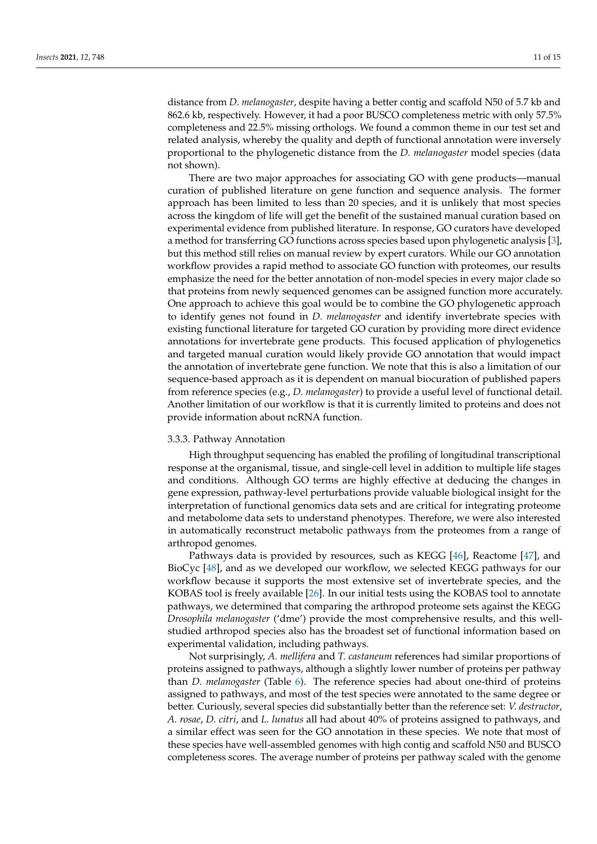distance from *D. melanogaster*, despite having a better contig and scaffold N50 of 5.7 kb and 862.6 kb, respectively. However, it had a poor BUSCO completeness metric with only 57.5% completeness and 22.5% missing orthologs. We found a common theme in our test set and related analysis, whereby the quality and depth of functional annotation were inversely proportional to the phylogenetic distance from the *D. melanogaster* model species (data not shown).

There are two major approaches for associating GO with gene products—manual curation of published literature on gene function and sequence analysis. The former approach has been limited to less than 20 species, and it is unlikely that most species across the kingdom of life will get the benefit of the sustained manual curation based on experimental evidence from published literature. In response, GO curators have developed a method for transferring GO functions across species based upon phylogenetic analysis [\[3\]](#page-12-2), but this method still relies on manual review by expert curators. While our GO annotation workflow provides a rapid method to associate GO function with proteomes, our results emphasize the need for the better annotation of non-model species in every major clade so that proteins from newly sequenced genomes can be assigned function more accurately. One approach to achieve this goal would be to combine the GO phylogenetic approach to identify genes not found in *D. melanogaster* and identify invertebrate species with existing functional literature for targeted GO curation by providing more direct evidence annotations for invertebrate gene products. This focused application of phylogenetics and targeted manual curation would likely provide GO annotation that would impact the annotation of invertebrate gene function. We note that this is also a limitation of our sequence-based approach as it is dependent on manual biocuration of published papers from reference species (e.g., *D. melanogaster*) to provide a useful level of functional detail. Another limitation of our workflow is that it is currently limited to proteins and does not provide information about ncRNA function.

## 3.3.3. Pathway Annotation

High throughput sequencing has enabled the profiling of longitudinal transcriptional response at the organismal, tissue, and single-cell level in addition to multiple life stages and conditions. Although GO terms are highly effective at deducing the changes in gene expression, pathway-level perturbations provide valuable biological insight for the interpretation of functional genomics data sets and are critical for integrating proteome and metabolome data sets to understand phenotypes. Therefore, we were also interested in automatically reconstruct metabolic pathways from the proteomes from a range of arthropod genomes.

Pathways data is provided by resources, such as KEGG [\[46\]](#page-14-6), Reactome [\[47\]](#page-14-7), and BioCyc [\[48\]](#page-14-8), and as we developed our workflow, we selected KEGG pathways for our workflow because it supports the most extensive set of invertebrate species, and the KOBAS tool is freely available [\[26\]](#page-13-10). In our initial tests using the KOBAS tool to annotate pathways, we determined that comparing the arthropod proteome sets against the KEGG *Drosophila melanogaster* ('dme') provide the most comprehensive results, and this wellstudied arthropod species also has the broadest set of functional information based on experimental validation, including pathways.

Not surprisingly, *A. mellifera* and *T. castaneum* references had similar proportions of proteins assigned to pathways, although a slightly lower number of proteins per pathway than *D. melanogaster* (Table [6\)](#page-11-0). The reference species had about one-third of proteins assigned to pathways, and most of the test species were annotated to the same degree or better. Curiously, several species did substantially better than the reference set: *V. destructor*, *A. rosae*, *D. citri*, and *L. lunatus* all had about 40% of proteins assigned to pathways, and a similar effect was seen for the GO annotation in these species. We note that most of these species have well-assembled genomes with high contig and scaffold N50 and BUSCO completeness scores. The average number of proteins per pathway scaled with the genome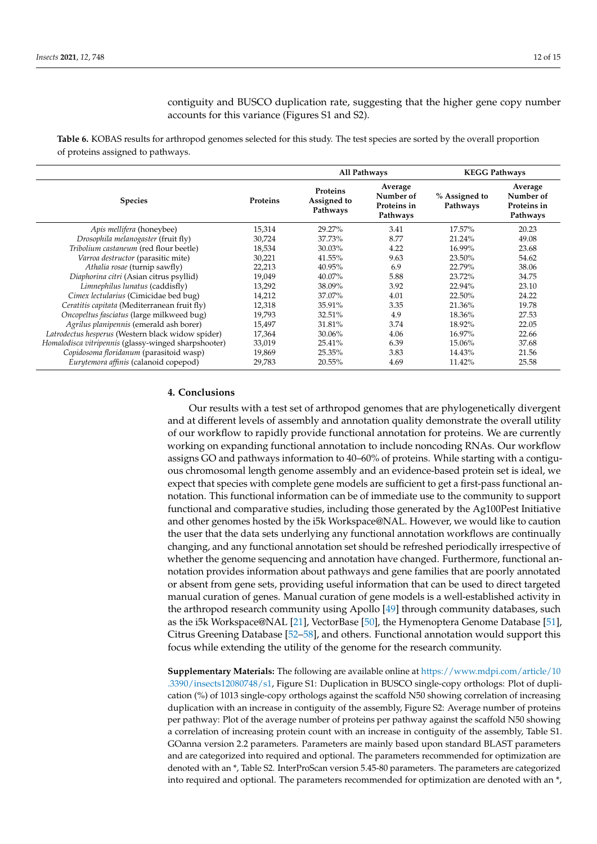contiguity and BUSCO duplication rate, suggesting that the higher gene copy number accounts for this variance (Figures S1 and S2).

<span id="page-11-0"></span>**Table 6.** KOBAS results for arthropod genomes selected for this study. The test species are sorted by the overall proportion of proteins assigned to pathways.

|                                                      |          | All Pathways                        |                                                 | <b>KEGG Pathways</b>      |                                                 |
|------------------------------------------------------|----------|-------------------------------------|-------------------------------------------------|---------------------------|-------------------------------------------------|
| <b>Species</b>                                       | Proteins | Proteins<br>Assigned to<br>Pathways | Average<br>Number of<br>Proteins in<br>Pathways | % Assigned to<br>Pathways | Average<br>Number of<br>Proteins in<br>Pathways |
| Apis mellifera (honeybee)                            | 15,314   | 29.27%                              | 3.41                                            | 17.57%                    | 20.23                                           |
| Drosophila melanogaster (fruit fly)                  | 30,724   | 37.73%                              | 8.77                                            | 21.24%                    | 49.08                                           |
| Tribolium castaneum (red flour beetle)               | 18,534   | 30.03%                              | 4.22                                            | 16.99%                    | 23.68                                           |
| Varroa destructor (parasitic mite)                   | 30,221   | 41.55%                              | 9.63                                            | 23.50%                    | 54.62                                           |
| Athalia rosae (turnip sawfly)                        | 22,213   | 40.95%                              | 6.9                                             | 22.79%                    | 38.06                                           |
| Diaphorina citri (Asian citrus psyllid)              | 19,049   | 40.07%                              | 5.88                                            | $23.72\%$                 | 34.75                                           |
| Limnephilus lunatus (caddisfly)                      | 13,292   | 38.09%                              | 3.92                                            | 22.94%                    | 23.10                                           |
| Cimex lectularius (Cimicidae bed bug)                | 14,212   | 37.07%                              | 4.01                                            | 22.50%                    | 24.22                                           |
| Ceratitis capitata (Mediterranean fruit fly)         | 12,318   | 35.91%                              | 3.35                                            | 21.36%                    | 19.78                                           |
| Oncopeltus fasciatus (large milkweed bug)            | 19,793   | 32.51%                              | 4.9                                             | 18.36%                    | 27.53                                           |
| Agrilus planipennis (emerald ash borer)              | 15,497   | 31.81%                              | 3.74                                            | 18.92%                    | 22.05                                           |
| Latrodectus hesperus (Western black widow spider)    | 17,364   | 30.06%                              | 4.06                                            | 16.97%                    | 22.66                                           |
| Homalodisca vitripennis (glassy-winged sharpshooter) | 33,019   | 25.41%                              | 6.39                                            | 15.06%                    | 37.68                                           |
| Copidosoma floridanum (parasitoid wasp)              | 19,869   | 25.35%                              | 3.83                                            | 14.43%                    | 21.56                                           |
| Eurytemora affinis (calanoid copepod)                | 29,783   | 20.55%                              | 4.69                                            | 11.42%                    | 25.58                                           |

## **4. Conclusions**

Our results with a test set of arthropod genomes that are phylogenetically divergent and at different levels of assembly and annotation quality demonstrate the overall utility of our workflow to rapidly provide functional annotation for proteins. We are currently working on expanding functional annotation to include noncoding RNAs. Our workflow assigns GO and pathways information to 40–60% of proteins. While starting with a contiguous chromosomal length genome assembly and an evidence-based protein set is ideal, we expect that species with complete gene models are sufficient to get a first-pass functional annotation. This functional information can be of immediate use to the community to support functional and comparative studies, including those generated by the Ag100Pest Initiative and other genomes hosted by the i5k Workspace@NAL. However, we would like to caution the user that the data sets underlying any functional annotation workflows are continually changing, and any functional annotation set should be refreshed periodically irrespective of whether the genome sequencing and annotation have changed. Furthermore, functional annotation provides information about pathways and gene families that are poorly annotated or absent from gene sets, providing useful information that can be used to direct targeted manual curation of genes. Manual curation of gene models is a well-established activity in the arthropod research community using Apollo [\[49\]](#page-14-9) through community databases, such as the i5k Workspace@NAL [\[21\]](#page-13-5), VectorBase [\[50\]](#page-14-10), the Hymenoptera Genome Database [\[51\]](#page-14-11), Citrus Greening Database [\[52–](#page-14-12)[58\]](#page-14-13), and others. Functional annotation would support this focus while extending the utility of the genome for the research community.

**Supplementary Materials:** The following are available online at [https://www.mdpi.com/article/10](https://www.mdpi.com/article/10.3390/insects12080748/s1) [.3390/insects12080748/s1,](https://www.mdpi.com/article/10.3390/insects12080748/s1) Figure S1: Duplication in BUSCO single-copy orthologs: Plot of duplication (%) of 1013 single-copy orthologs against the scaffold N50 showing correlation of increasing duplication with an increase in contiguity of the assembly, Figure S2: Average number of proteins per pathway: Plot of the average number of proteins per pathway against the scaffold N50 showing a correlation of increasing protein count with an increase in contiguity of the assembly, Table S1. GOanna version 2.2 parameters. Parameters are mainly based upon standard BLAST parameters and are categorized into required and optional. The parameters recommended for optimization are denoted with an \*, Table S2. InterProScan version 5.45-80 parameters. The parameters are categorized into required and optional. The parameters recommended for optimization are denoted with an \*,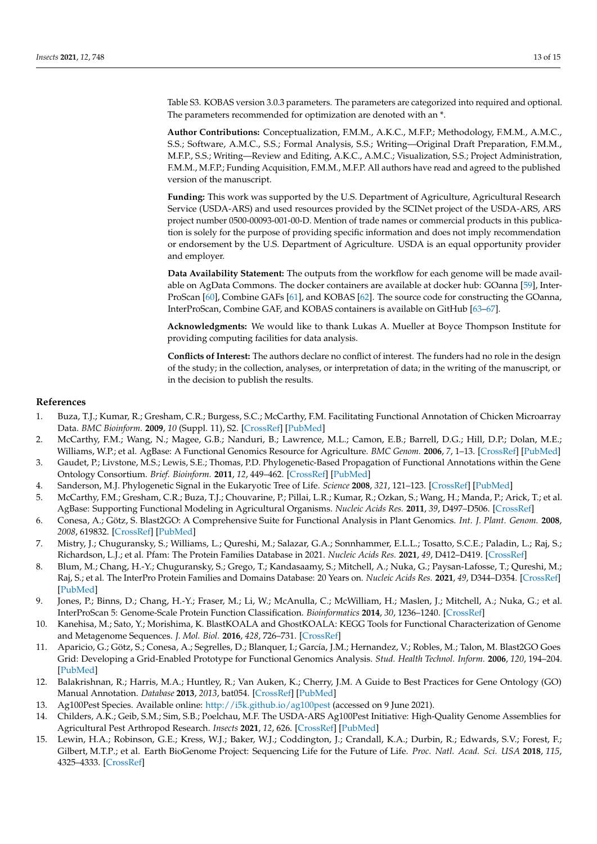Table S3. KOBAS version 3.0.3 parameters. The parameters are categorized into required and optional. The parameters recommended for optimization are denoted with an \*.

**Author Contributions:** Conceptualization, F.M.M., A.K.C., M.F.P.; Methodology, F.M.M., A.M.C., S.S.; Software, A.M.C., S.S.; Formal Analysis, S.S.; Writing—Original Draft Preparation, F.M.M., M.F.P., S.S.; Writing—Review and Editing, A.K.C., A.M.C.; Visualization, S.S.; Project Administration, F.M.M., M.F.P.; Funding Acquisition, F.M.M., M.F.P. All authors have read and agreed to the published version of the manuscript.

**Funding:** This work was supported by the U.S. Department of Agriculture, Agricultural Research Service (USDA-ARS) and used resources provided by the SCINet project of the USDA-ARS, ARS project number 0500-00093-001-00-D. Mention of trade names or commercial products in this publication is solely for the purpose of providing specific information and does not imply recommendation or endorsement by the U.S. Department of Agriculture. USDA is an equal opportunity provider and employer.

**Data Availability Statement:** The outputs from the workflow for each genome will be made available on AgData Commons. The docker containers are available at docker hub: GOanna [\[59\]](#page-14-14), Inter-ProScan [\[60\]](#page-14-15), Combine GAFs [\[61\]](#page-14-16), and KOBAS [\[62\]](#page-14-17). The source code for constructing the GOanna, InterProScan, Combine GAF, and KOBAS containers is available on GitHub [\[63–](#page-14-18)[67\]](#page-14-19).

**Acknowledgments:** We would like to thank Lukas A. Mueller at Boyce Thompson Institute for providing computing facilities for data analysis.

**Conflicts of Interest:** The authors declare no conflict of interest. The funders had no role in the design of the study; in the collection, analyses, or interpretation of data; in the writing of the manuscript, or in the decision to publish the results.

## **References**

- <span id="page-12-0"></span>1. Buza, T.J.; Kumar, R.; Gresham, C.R.; Burgess, S.C.; McCarthy, F.M. Facilitating Functional Annotation of Chicken Microarray Data. *BMC Bioinform.* **2009**, *10* (Suppl. 11), S2. [\[CrossRef\]](http://doi.org/10.1186/1471-2105-10-S11-S2) [\[PubMed\]](http://www.ncbi.nlm.nih.gov/pubmed/19811685)
- <span id="page-12-1"></span>2. McCarthy, F.M.; Wang, N.; Magee, G.B.; Nanduri, B.; Lawrence, M.L.; Camon, E.B.; Barrell, D.G.; Hill, D.P.; Dolan, M.E.; Williams, W.P.; et al. AgBase: A Functional Genomics Resource for Agriculture. *BMC Genom.* **2006**, *7*, 1–13. [\[CrossRef\]](http://doi.org/10.1186/1471-2164-7-229) [\[PubMed\]](http://www.ncbi.nlm.nih.gov/pubmed/16961921)
- <span id="page-12-2"></span>3. Gaudet, P.; Livstone, M.S.; Lewis, S.E.; Thomas, P.D. Phylogenetic-Based Propagation of Functional Annotations within the Gene Ontology Consortium. *Brief. Bioinform.* **2011**, *12*, 449–462. [\[CrossRef\]](http://doi.org/10.1093/bib/bbr042) [\[PubMed\]](http://www.ncbi.nlm.nih.gov/pubmed/21873635)
- <span id="page-12-3"></span>4. Sanderson, M.J. Phylogenetic Signal in the Eukaryotic Tree of Life. *Science* **2008**, *321*, 121–123. [\[CrossRef\]](http://doi.org/10.1126/science.1154449) [\[PubMed\]](http://www.ncbi.nlm.nih.gov/pubmed/18599787)
- <span id="page-12-4"></span>5. McCarthy, F.M.; Gresham, C.R.; Buza, T.J.; Chouvarine, P.; Pillai, L.R.; Kumar, R.; Ozkan, S.; Wang, H.; Manda, P.; Arick, T.; et al. AgBase: Supporting Functional Modeling in Agricultural Organisms. *Nucleic Acids Res.* **2011**, *39*, D497–D506. [\[CrossRef\]](http://doi.org/10.1093/nar/gkq1115)
- <span id="page-12-5"></span>6. Conesa, A.; Götz, S. Blast2GO: A Comprehensive Suite for Functional Analysis in Plant Genomics. *Int. J. Plant. Genom.* **2008**, *2008*, 619832. [\[CrossRef\]](http://doi.org/10.1155/2008/619832) [\[PubMed\]](http://www.ncbi.nlm.nih.gov/pubmed/18483572)
- <span id="page-12-6"></span>7. Mistry, J.; Chuguransky, S.; Williams, L.; Qureshi, M.; Salazar, G.A.; Sonnhammer, E.L.L.; Tosatto, S.C.E.; Paladin, L.; Raj, S.; Richardson, L.J.; et al. Pfam: The Protein Families Database in 2021. *Nucleic Acids Res.* **2021**, *49*, D412–D419. [\[CrossRef\]](http://doi.org/10.1093/nar/gkaa913)
- <span id="page-12-7"></span>8. Blum, M.; Chang, H.-Y.; Chuguransky, S.; Grego, T.; Kandasaamy, S.; Mitchell, A.; Nuka, G.; Paysan-Lafosse, T.; Qureshi, M.; Raj, S.; et al. The InterPro Protein Families and Domains Database: 20 Years on. *Nucleic Acids Res.* **2021**, *49*, D344–D354. [\[CrossRef\]](http://doi.org/10.1093/nar/gkaa977) [\[PubMed\]](http://www.ncbi.nlm.nih.gov/pubmed/33156333)
- <span id="page-12-8"></span>9. Jones, P.; Binns, D.; Chang, H.-Y.; Fraser, M.; Li, W.; McAnulla, C.; McWilliam, H.; Maslen, J.; Mitchell, A.; Nuka, G.; et al. InterProScan 5: Genome-Scale Protein Function Classification. *Bioinformatics* **2014**, *30*, 1236–1240. [\[CrossRef\]](http://doi.org/10.1093/bioinformatics/btu031)
- <span id="page-12-9"></span>10. Kanehisa, M.; Sato, Y.; Morishima, K. BlastKOALA and GhostKOALA: KEGG Tools for Functional Characterization of Genome and Metagenome Sequences. *J. Mol. Biol.* **2016**, *428*, 726–731. [\[CrossRef\]](http://doi.org/10.1016/j.jmb.2015.11.006)
- <span id="page-12-10"></span>11. Aparicio, G.; Götz, S.; Conesa, A.; Segrelles, D.; Blanquer, I.; García, J.M.; Hernandez, V.; Robles, M.; Talon, M. Blast2GO Goes Grid: Developing a Grid-Enabled Prototype for Functional Genomics Analysis. *Stud. Health Technol. Inform.* **2006**, *120*, 194–204. [\[PubMed\]](http://www.ncbi.nlm.nih.gov/pubmed/16823138)
- <span id="page-12-11"></span>12. Balakrishnan, R.; Harris, M.A.; Huntley, R.; Van Auken, K.; Cherry, J.M. A Guide to Best Practices for Gene Ontology (GO) Manual Annotation. *Database* **2013**, *2013*, bat054. [\[CrossRef\]](http://doi.org/10.1093/database/bat054) [\[PubMed\]](http://www.ncbi.nlm.nih.gov/pubmed/23842463)
- <span id="page-12-12"></span>13. Ag100Pest Species. Available online: <http://i5k.github.io/ag100pest> (accessed on 9 June 2021).
- <span id="page-12-13"></span>14. Childers, A.K.; Geib, S.M.; Sim, S.B.; Poelchau, M.F. The USDA-ARS Ag100Pest Initiative: High-Quality Genome Assemblies for Agricultural Pest Arthropod Research. *Insects* **2021**, *12*, 626. [\[CrossRef\]](http://doi.org/10.3390/insects12070626) [\[PubMed\]](http://www.ncbi.nlm.nih.gov/pubmed/34357286)
- <span id="page-12-14"></span>15. Lewin, H.A.; Robinson, G.E.; Kress, W.J.; Baker, W.J.; Coddington, J.; Crandall, K.A.; Durbin, R.; Edwards, S.V.; Forest, F.; Gilbert, M.T.P.; et al. Earth BioGenome Project: Sequencing Life for the Future of Life. *Proc. Natl. Acad. Sci. USA* **2018**, *115*, 4325–4333. [\[CrossRef\]](http://doi.org/10.1073/pnas.1720115115)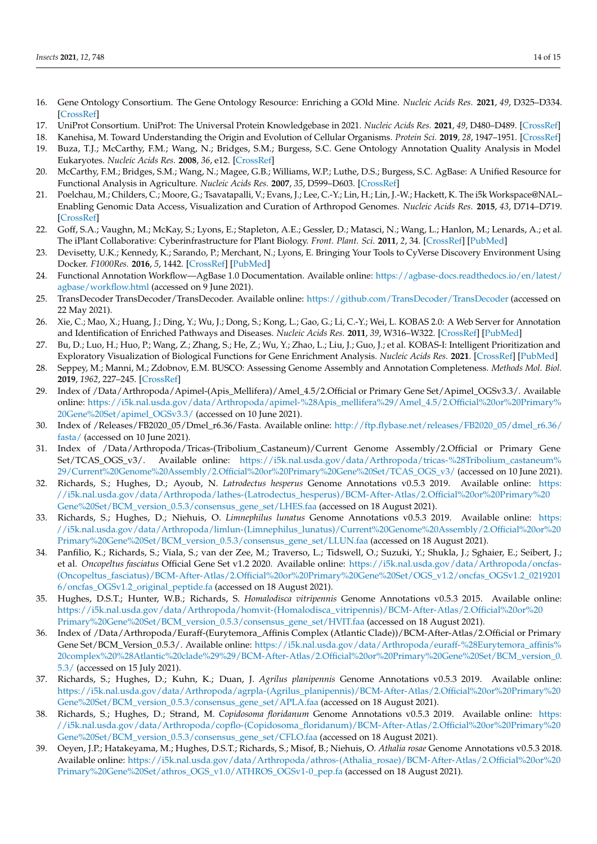- <span id="page-13-0"></span>16. Gene Ontology Consortium. The Gene Ontology Resource: Enriching a GOld Mine. *Nucleic Acids Res.* **2021**, *49*, D325–D334. [\[CrossRef\]](http://doi.org/10.1093/nar/gkaa1113)
- <span id="page-13-1"></span>17. UniProt Consortium. UniProt: The Universal Protein Knowledgebase in 2021. *Nucleic Acids Res.* **2021**, *49*, D480–D489. [\[CrossRef\]](http://doi.org/10.1093/nar/gkaa1100)
- <span id="page-13-2"></span>18. Kanehisa, M. Toward Understanding the Origin and Evolution of Cellular Organisms. *Protein Sci.* **2019**, *28*, 1947–1951. [\[CrossRef\]](http://doi.org/10.1002/pro.3715)
- <span id="page-13-3"></span>19. Buza, T.J.; McCarthy, F.M.; Wang, N.; Bridges, S.M.; Burgess, S.C. Gene Ontology Annotation Quality Analysis in Model Eukaryotes. *Nucleic Acids Res.* **2008**, *36*, e12. [\[CrossRef\]](http://doi.org/10.1093/nar/gkm1167)
- <span id="page-13-4"></span>20. McCarthy, F.M.; Bridges, S.M.; Wang, N.; Magee, G.B.; Williams, W.P.; Luthe, D.S.; Burgess, S.C. AgBase: A Unified Resource for Functional Analysis in Agriculture. *Nucleic Acids Res.* **2007**, *35*, D599–D603. [\[CrossRef\]](http://doi.org/10.1093/nar/gkl936)
- <span id="page-13-5"></span>21. Poelchau, M.; Childers, C.; Moore, G.; Tsavatapalli, V.; Evans, J.; Lee, C.-Y.; Lin, H.; Lin, J.-W.; Hackett, K. The i5k Workspace@NAL– Enabling Genomic Data Access, Visualization and Curation of Arthropod Genomes. *Nucleic Acids Res.* **2015**, *43*, D714–D719. [\[CrossRef\]](http://doi.org/10.1093/nar/gku983)
- <span id="page-13-6"></span>22. Goff, S.A.; Vaughn, M.; McKay, S.; Lyons, E.; Stapleton, A.E.; Gessler, D.; Matasci, N.; Wang, L.; Hanlon, M.; Lenards, A.; et al. The iPlant Collaborative: Cyberinfrastructure for Plant Biology. *Front. Plant. Sci.* **2011**, *2*, 34. [\[CrossRef\]](http://doi.org/10.3389/fpls.2011.00034) [\[PubMed\]](http://www.ncbi.nlm.nih.gov/pubmed/22645531)
- <span id="page-13-7"></span>23. Devisetty, U.K.; Kennedy, K.; Sarando, P.; Merchant, N.; Lyons, E. Bringing Your Tools to CyVerse Discovery Environment Using Docker. *F1000Res.* **2016**, *5*, 1442. [\[CrossRef\]](http://doi.org/10.12688/f1000research.8935.1) [\[PubMed\]](http://www.ncbi.nlm.nih.gov/pubmed/27803802)
- <span id="page-13-8"></span>24. Functional Annotation Workflow—AgBase 1.0 Documentation. Available online: [https://agbase-docs.readthedocs.io/en/latest/](https://agbase-docs.readthedocs.io/en/latest/agbase/workflow.html) [agbase/workflow.html](https://agbase-docs.readthedocs.io/en/latest/agbase/workflow.html) (accessed on 9 June 2021).
- <span id="page-13-9"></span>25. TransDecoder TransDecoder/TransDecoder. Available online: <https://github.com/TransDecoder/TransDecoder> (accessed on 22 May 2021).
- <span id="page-13-10"></span>26. Xie, C.; Mao, X.; Huang, J.; Ding, Y.; Wu, J.; Dong, S.; Kong, L.; Gao, G.; Li, C.-Y.; Wei, L. KOBAS 2.0: A Web Server for Annotation and Identification of Enriched Pathways and Diseases. *Nucleic Acids Res.* **2011**, *39*, W316–W322. [\[CrossRef\]](http://doi.org/10.1093/nar/gkr483) [\[PubMed\]](http://www.ncbi.nlm.nih.gov/pubmed/21715386)
- <span id="page-13-11"></span>27. Bu, D.; Luo, H.; Huo, P.; Wang, Z.; Zhang, S.; He, Z.; Wu, Y.; Zhao, L.; Liu, J.; Guo, J.; et al. KOBAS-I: Intelligent Prioritization and Exploratory Visualization of Biological Functions for Gene Enrichment Analysis. *Nucleic Acids Res.* **2021**. [\[CrossRef\]](http://doi.org/10.1093/nar/gkab447) [\[PubMed\]](http://www.ncbi.nlm.nih.gov/pubmed/34086934)
- <span id="page-13-12"></span>28. Seppey, M.; Manni, M.; Zdobnov, E.M. BUSCO: Assessing Genome Assembly and Annotation Completeness. *Methods Mol. Biol.* **2019**, *1962*, 227–245. [\[CrossRef\]](http://doi.org/10.1007/978-1-4939-9173-0_14)
- <span id="page-13-13"></span>29. Index of /Data/Arthropoda/Apimel-(Apis\_Mellifera)/Amel\_4.5/2.Official or Primary Gene Set/Apimel\_OGSv3.3/. Available online: [https://i5k.nal.usda.gov/data/Arthropoda/apimel-%28Apis\\_mellifera%29/Amel\\_4.5/2.Official%20or%20Primary%](https://i5k.nal.usda.gov/data/Arthropoda/apimel-%28Apis_mellifera%29/Amel_4.5/2.Official%20or%20Primary%20Gene%20Set/apimel_OGSv3.3/) [20Gene%20Set/apimel\\_OGSv3.3/](https://i5k.nal.usda.gov/data/Arthropoda/apimel-%28Apis_mellifera%29/Amel_4.5/2.Official%20or%20Primary%20Gene%20Set/apimel_OGSv3.3/) (accessed on 10 June 2021).
- <span id="page-13-14"></span>30. Index of /Releases/FB2020\_05/Dmel\_r6.36/Fasta. Available online: [http://ftp.flybase.net/releases/FB2020\\_05/dmel\\_r6.36/](http://ftp.flybase.net/releases/FB2020_05/dmel_r6.36/fasta/) [fasta/](http://ftp.flybase.net/releases/FB2020_05/dmel_r6.36/fasta/) (accessed on 10 June 2021).
- <span id="page-13-15"></span>31. Index of /Data/Arthropoda/Tricas-(Tribolium\_Castaneum)/Current Genome Assembly/2.Official or Primary Gene Set/TCAS\_OGS\_v3/. Available online: [https://i5k.nal.usda.gov/data/Arthropoda/tricas-%28Tribolium\\_castaneum%](https://i5k.nal.usda.gov/data/Arthropoda/tricas-%28Tribolium_castaneum%29/Current%20Genome%20Assembly/2.Official%20or%20Primary%20Gene%20Set/TCAS_OGS_v3/) [29/Current%20Genome%20Assembly/2.Official%20or%20Primary%20Gene%20Set/TCAS\\_OGS\\_v3/](https://i5k.nal.usda.gov/data/Arthropoda/tricas-%28Tribolium_castaneum%29/Current%20Genome%20Assembly/2.Official%20or%20Primary%20Gene%20Set/TCAS_OGS_v3/) (accessed on 10 June 2021).
- <span id="page-13-16"></span>32. Richards, S.; Hughes, D.; Ayoub, N. *Latrodectus hesperus* Genome Annotations v0.5.3 2019. Available online: [https:](https://i5k.nal.usda.gov/data/Arthropoda/lathes-(Latrodectus_hesperus)/BCM-After-Atlas/2.Official%20or%20Primary%20Gene%20Set/BCM_version_0.5.3/consensus_gene_set/LHES.faa) [//i5k.nal.usda.gov/data/Arthropoda/lathes-\(Latrodectus\\_hesperus\)/BCM-After-Atlas/2.Official%20or%20Primary%20](https://i5k.nal.usda.gov/data/Arthropoda/lathes-(Latrodectus_hesperus)/BCM-After-Atlas/2.Official%20or%20Primary%20Gene%20Set/BCM_version_0.5.3/consensus_gene_set/LHES.faa) [Gene%20Set/BCM\\_version\\_0.5.3/consensus\\_gene\\_set/LHES.faa](https://i5k.nal.usda.gov/data/Arthropoda/lathes-(Latrodectus_hesperus)/BCM-After-Atlas/2.Official%20or%20Primary%20Gene%20Set/BCM_version_0.5.3/consensus_gene_set/LHES.faa) (accessed on 18 August 2021).
- <span id="page-13-17"></span>33. Richards, S.; Hughes, D.; Niehuis, O. *Limnephilus lunatus* Genome Annotations v0.5.3 2019. Available online: [https:](https://i5k.nal.usda.gov/data/Arthropoda/limlun-(Limnephilus_lunatus)/Current%20Genome%20Assembly/2.Official%20or%20Primary%20Gene%20Set/BCM_version_0.5.3/consensus_gene_set/LLUN.faa) [//i5k.nal.usda.gov/data/Arthropoda/limlun-\(Limnephilus\\_lunatus\)/Current%20Genome%20Assembly/2.Official%20or%20](https://i5k.nal.usda.gov/data/Arthropoda/limlun-(Limnephilus_lunatus)/Current%20Genome%20Assembly/2.Official%20or%20Primary%20Gene%20Set/BCM_version_0.5.3/consensus_gene_set/LLUN.faa) [Primary%20Gene%20Set/BCM\\_version\\_0.5.3/consensus\\_gene\\_set/LLUN.faa](https://i5k.nal.usda.gov/data/Arthropoda/limlun-(Limnephilus_lunatus)/Current%20Genome%20Assembly/2.Official%20or%20Primary%20Gene%20Set/BCM_version_0.5.3/consensus_gene_set/LLUN.faa) (accessed on 18 August 2021).
- <span id="page-13-18"></span>34. Panfilio, K.; Richards, S.; Viala, S.; van der Zee, M.; Traverso, L.; Tidswell, O.; Suzuki, Y.; Shukla, J.; Sghaier, E.; Seibert, J.; et al. *Oncopeltus fasciatus* Official Gene Set v1.2 2020. Available online: [https://i5k.nal.usda.gov/data/Arthropoda/oncfas-](https://i5k.nal.usda.gov/data/Arthropoda/oncfas-(Oncopeltus_fasciatus)/BCM-After-Atlas/2.Official%20or%20Primary%20Gene%20Set/OGS_v1.2/oncfas_OGSv1.2_02192016/oncfas_OGSv1.2_original_peptide.fa) [\(Oncopeltus\\_fasciatus\)/BCM-After-Atlas/2.Official%20or%20Primary%20Gene%20Set/OGS\\_v1.2/oncfas\\_OGSv1.2\\_0219201](https://i5k.nal.usda.gov/data/Arthropoda/oncfas-(Oncopeltus_fasciatus)/BCM-After-Atlas/2.Official%20or%20Primary%20Gene%20Set/OGS_v1.2/oncfas_OGSv1.2_02192016/oncfas_OGSv1.2_original_peptide.fa) [6/oncfas\\_OGSv1.2\\_original\\_peptide.fa](https://i5k.nal.usda.gov/data/Arthropoda/oncfas-(Oncopeltus_fasciatus)/BCM-After-Atlas/2.Official%20or%20Primary%20Gene%20Set/OGS_v1.2/oncfas_OGSv1.2_02192016/oncfas_OGSv1.2_original_peptide.fa) (accessed on 18 August 2021).
- <span id="page-13-19"></span>35. Hughes, D.S.T.; Hunter, W.B.; Richards, S. *Homalodisca vitripennis* Genome Annotations v0.5.3 2015. Available online: [https://i5k.nal.usda.gov/data/Arthropoda/homvit-\(Homalodisca\\_vitripennis\)/BCM-After-Atlas/2.Official%20or%20](https://i5k.nal.usda.gov/data/Arthropoda/homvit-(Homalodisca_vitripennis)/BCM-After-Atlas/2.Official%20or%20Primary%20Gene%20Set/BCM_version_0.5.3/consensus_gene_set/HVIT.faa) [Primary%20Gene%20Set/BCM\\_version\\_0.5.3/consensus\\_gene\\_set/HVIT.faa](https://i5k.nal.usda.gov/data/Arthropoda/homvit-(Homalodisca_vitripennis)/BCM-After-Atlas/2.Official%20or%20Primary%20Gene%20Set/BCM_version_0.5.3/consensus_gene_set/HVIT.faa) (accessed on 18 August 2021).
- <span id="page-13-20"></span>36. Index of /Data/Arthropoda/Euraff-(Eurytemora\_Affinis Complex (Atlantic Clade))/BCM-After-Atlas/2.Official or Primary Gene Set/BCM\_Version\_0.5.3/. Available online: [https://i5k.nal.usda.gov/data/Arthropoda/euraff-%28Eurytemora\\_affinis%](https://i5k.nal.usda.gov/data/Arthropoda/euraff-%28Eurytemora_affinis%20complex%20%28Atlantic%20clade%29%29/BCM-After-Atlas/2.Official%20or%20Primary%20Gene%20Set/BCM_version_0.5.3/) [20complex%20%28Atlantic%20clade%29%29/BCM-After-Atlas/2.Official%20or%20Primary%20Gene%20Set/BCM\\_version\\_0.](https://i5k.nal.usda.gov/data/Arthropoda/euraff-%28Eurytemora_affinis%20complex%20%28Atlantic%20clade%29%29/BCM-After-Atlas/2.Official%20or%20Primary%20Gene%20Set/BCM_version_0.5.3/) [5.3/](https://i5k.nal.usda.gov/data/Arthropoda/euraff-%28Eurytemora_affinis%20complex%20%28Atlantic%20clade%29%29/BCM-After-Atlas/2.Official%20or%20Primary%20Gene%20Set/BCM_version_0.5.3/) (accessed on 15 July 2021).
- <span id="page-13-21"></span>37. Richards, S.; Hughes, D.; Kuhn, K.; Duan, J. *Agrilus planipennis* Genome Annotations v0.5.3 2019. Available online: [https://i5k.nal.usda.gov/data/Arthropoda/agrpla-\(Agrilus\\_planipennis\)/BCM-After-Atlas/2.Official%20or%20Primary%20](https://i5k.nal.usda.gov/data/Arthropoda/agrpla-(Agrilus_planipennis)/BCM-After-Atlas/2.Official%20or%20Primary%20Gene%20Set/BCM_version_0.5.3/consensus_gene_set/APLA.faa) [Gene%20Set/BCM\\_version\\_0.5.3/consensus\\_gene\\_set/APLA.faa](https://i5k.nal.usda.gov/data/Arthropoda/agrpla-(Agrilus_planipennis)/BCM-After-Atlas/2.Official%20or%20Primary%20Gene%20Set/BCM_version_0.5.3/consensus_gene_set/APLA.faa) (accessed on 18 August 2021).
- <span id="page-13-22"></span>38. Richards, S.; Hughes, D.; Strand, M. *Copidosoma floridanum* Genome Annotations v0.5.3 2019. Available online: [https:](https://i5k.nal.usda.gov/data/Arthropoda/copflo-(Copidosoma_floridanum)/BCM-After-Atlas/2.Official%20or%20Primary%20Gene%20Set/BCM_version_0.5.3/consensus_gene_set/CFLO.faa) [//i5k.nal.usda.gov/data/Arthropoda/copflo-\(Copidosoma\\_floridanum\)/BCM-After-Atlas/2.Official%20or%20Primary%20](https://i5k.nal.usda.gov/data/Arthropoda/copflo-(Copidosoma_floridanum)/BCM-After-Atlas/2.Official%20or%20Primary%20Gene%20Set/BCM_version_0.5.3/consensus_gene_set/CFLO.faa) [Gene%20Set/BCM\\_version\\_0.5.3/consensus\\_gene\\_set/CFLO.faa](https://i5k.nal.usda.gov/data/Arthropoda/copflo-(Copidosoma_floridanum)/BCM-After-Atlas/2.Official%20or%20Primary%20Gene%20Set/BCM_version_0.5.3/consensus_gene_set/CFLO.faa) (accessed on 18 August 2021).
- <span id="page-13-23"></span>39. Oeyen, J.P.; Hatakeyama, M.; Hughes, D.S.T.; Richards, S.; Misof, B.; Niehuis, O. *Athalia rosae* Genome Annotations v0.5.3 2018. Available online: [https://i5k.nal.usda.gov/data/Arthropoda/athros-\(Athalia\\_rosae\)/BCM-After-Atlas/2.Official%20or%20](https://i5k.nal.usda.gov/data/Arthropoda/athros-(Athalia_rosae)/BCM-After-Atlas/2.Official%20or%20Primary%20Gene%20Set/athros_OGS_v1.0/ATHROS_OGSv1-0_pep.fa) [Primary%20Gene%20Set/athros\\_OGS\\_v1.0/ATHROS\\_OGSv1-0\\_pep.fa](https://i5k.nal.usda.gov/data/Arthropoda/athros-(Athalia_rosae)/BCM-After-Atlas/2.Official%20or%20Primary%20Gene%20Set/athros_OGS_v1.0/ATHROS_OGSv1-0_pep.fa) (accessed on 18 August 2021).